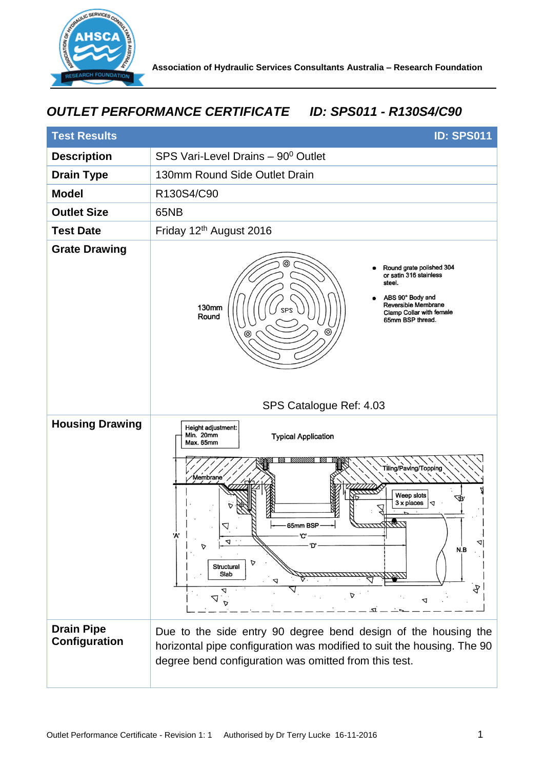

## *OUTLET PERFORMANCE CERTIFICATE ID: SPS011 - R130S4/C90*